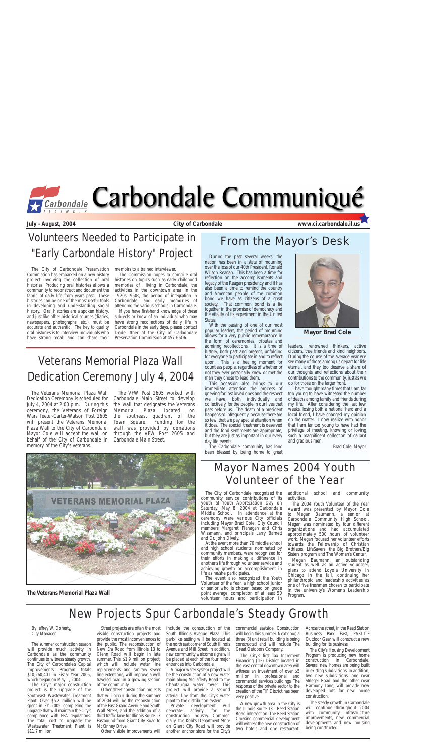During the past several weeks, the nation has been in a state of mourning over the loss of our 40th President, Ronald Wilson Reagan. This has been a time for reflection on the accomplishments and legacy of the Reagan presidency and it has also been a time to remind the country and American people of the common bond we have as citizens of a great society. That common bond is a tie together in the promise of democracy and the vitality of its experiment in the United States.

This occasion also brings to our immediate attention the process of grieving for lost loved ones and the respect we have, both individually and collectively, for the people in our lives that pass before us. The death of a president happens so infrequently, because there are so few, that we pay special attention when it does. The special treatment is deserved and the fond sentiments are appropriate, but they are just as important in our every day life events.

With the passing of one of our most popular leaders, the period of mourning allows for a very public remembrance in the form of ceremonies, tributes and admiring recollections. It is a time of history, both past and present, unfolding for everyone to participate in and to reflect upon. This is a healing moment for countless people, regardless of whether or not they ever personally knew or met the man they chose to lead them.

The Carbondale community has long been blessed by being home to great



leaders, renowned thinkers, active citizens, true friends and kind neighbors. During the course of the average year we see many of those among us depart for life eternal, and they too deserve a share of our thoughts and reflections about their contributions to the community, just as we do for those on the larger front.

I have thought many times that I am far too young to have witnessed the number of deaths among family and friends during my life. After considering the last few weeks, losing both a national hero and a local friend, I have changed my opinion on the matter. I now realize with honor that I am far too young to have had the privilege of meeting, knowing or loving such a magnificent collection of gallant and gracious men.

Brad Cole, Mayor

The Veterans Memorial Plaza Wall Dedication Ceremony is scheduled for July 4, 2004 at 2:00 p.m. During this ceremony, the Veterans of Foreign Wars Teeter-Carter-Watson Post 2605 will present the Veterans Memorial Plaza Wall to the City of Carbondale. Mayor Cole will accept the wall on behalf of the City of Carbondale in memory of the City's veterans.

The VFW Post 2605 worked with Carbondale Main Street to develop the wall that designates the Veterans Memorial Plaza located on the southeast quadrant of the Town Square. Funding for the wall was provided by donations through the VFW Post 2605 and Carbondale Main Street.



## New Projects Spur Carbondale's Steady Growth



**July - August, 2004 City of Carbondale www.ci.carbondale.il.us**

## From the Mayor's Desk

By Jeffrey W. Doherty, City Manager

The summer construction season will provide much activity in Carbondale as the community continues to witness steady growth. The City of Carbondale's Capital Improvements Program totals \$10,260,401 in Fiscal Year 2005, which began on May 1, 2004.

The City's major construction project is the upgrade of the Southeast Wastewater Treatment Plant. Over \$5.2 million will be spent in FY 2005 completing the upgrade that will maintain the City's compliance with EPA regulations. The total cost to upgrade the Wastewater Treatment Plant is \$11.7 million.

Street projects are often the most visible construction projects and provide the most inconveniences to the public. The reconstruction of New Era Road from Illinois 13 to Glenn Road will begin in late summer. This \$1.9 million project, which will include water line replacements and sanitary sewer line extentions, will improve a well traveled road in a growing section of the community.

Other street construction projects that will occur during the summer of 2004 will be the reconstruction of the East Grand Avenue and South Wall Street, and the addition of a third traffic lane for Illinois Route 13 Eastbound from Giant City Road to McKinney Drive.

Other visible improvements will

include the construction of the South Illinois Avenue Plaza. This park-like setting will be located at the northeast corner of South Illinois Avenue and Mill Street. In addition, new community welcome signs will be placed at each of the four major entrances into Carbondale.

A major water system project will be the construction of a new water main along McLafferty Road to the Chautauqua water tower. This project will provide a second arterial line from the City's water plant to the distribution system.

Private development will generate activity for the construction industry. Commercially, the Kohl's Department Store on Giant City Road will provide another anchor store for the City's

commercial eastside. Construction will begin this summer. Next door, a three (3) unit retail building is being constructed and will include The Great Outdoors Company.

The City's first Tax Increment Financing (TIF) District located in the east-central downtown area will witness an investment of over \$5 million in professional and commercial services buildings. The response of the private sector to the creation of the TIF District has been very positive.

A new growth area in the City is the Illinois Route 13 - Reed Station Road intersection. The Reed Station Crossing commercial development will witness the new construction of two hotels and one restaurant.

Across the street, in the Reed Station Business Park East, PAKLITE Outdoor Gear will construct a new building for its business.

The City's Housing Development Program is producing new home construction in Carbondale. Several new homes are being built in existing subdivisions. In addition, two new subdivisions, one near Striegel Road and the other near Harmony Lane, will provide new developed lots for new home construction.

The steady growth in Carbondale will continue throughout 2004 with community infrastructure improvements, new commercial developments and new housing being constructed.

# Mayor Names 2004 Youth Volunteer of the Year

The City of Carbondale recognized the community service contributions of its youth at Youth Appreciation Day on Saturday, May 8, 2004 at Carbondale Middle School. In attendance at the ceremony were various City officials including Mayor Brad Cole, City Council members Margaret Flanagan and Chris Wissmann, and principals Larry Barnett and Dr. John Dively.

At the event more than 70 middle school and high school students, nominated by community members, were recognized for their efforts in making a difference in another's life through volunteer service and achieving growth or accomplishment in life as he/she participates.

The event also recognized the Youth Volunteer of the Year, a high school junior or senior who is chosen based on grade point average, completion of at least 50 volunteer hours and participation in

additional school and community activities.

The 2004 Youth Volunteer of the Year Award was presented by Mayor Cole to Megan Baumann, a senior at Carbondale Community High School. Megan was nominated by four different organizations and had accumulated approximately 500 hours of volunteer work. Megan focused her volunteer efforts towards the Fellowship of Christian Athletes, LifeSavers, the Big Brothers/Big Sisters program and The Women's Center.

Megan Baumann, an outstanding student as well as an active volunteer, plans to attend Loyola University in Chicago in the fall, continuing her philanthropic and leadership activities as one of five freshmen chosen to participate in the university's Women's Leadership Program.

# Veterans Memorial Plaza Wall Dedication Ceremony July 4, 2004

**Mayor Brad Cole**

**The Veterans Memorial Plaza Wall**

The City of Carbondale Preservation Commission has embarked on a new history project involving the collection of oral histories. Producing oral histories allows a community to reconstruct and document the fabric of daily life from years past. These histories can be one of the most useful tools in developing and understanding social history. Oral histories are a spoken history, and just like other historical sources (diaries, newspapers, photographs, etc.), must be accurate and authentic. The key to quality oral histories is to interview individuals who have strong recall and can share their

memoirs to a trained interviewer.

The Commission hopes to compile oral histories on topics such as early childhood memories of living in Carbondale, the activities in the downtown area in the 1920s-1950s, the period of integration in Carbondale, and early memories of attending the various schools in Carbondale.

If you have first-hand knowledge of these subjects or know of an individual who may have strong recollections of daily life in Carbondale in the early days, please contact Dede Ittner of the City of Carbondale Preservation Commission at 457-6606.

# Volunteers Needed to Participate in "Early Carbondale History" Project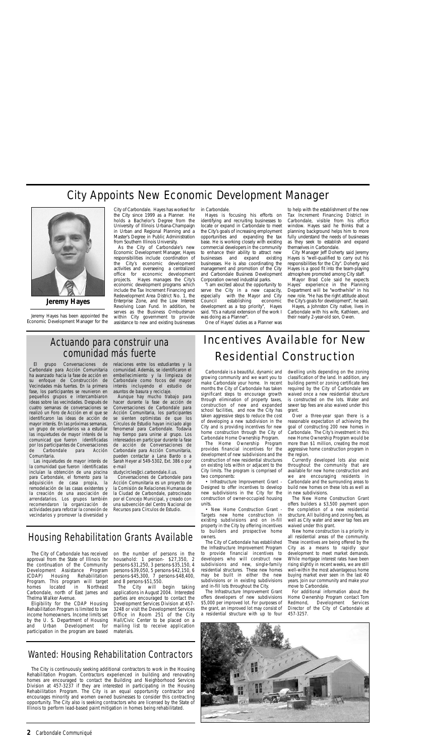**2** Carbondale Communiqué

# Incentives Available for New Residential Construction

Carbondale is a beautiful, dynamic and growing community and we want you to make Carbondale your home. In recent months the City of Carbondale has taken significant steps to encourage growth through elimination of property taxes, construction of new and expanded school facilities, and now the City has taken aggressive steps to reduce the cost of developing a new subdivision in the City and is providing incentives for new home construction through the City of Carbondale Home Ownership Program.

The Home Ownership Program provides financial incentives for the development of new subdivisions and the construction of new residential structures on existing lots within or adjacent to the City limits. The program is comprised of two components:

• Infrastructure Improvement Grant - Designed to offer incentives to develop new subdivisions in the City for the construction of owner-occupied housing units.

• New Home Construction Grant - Targets new home construction in existing subdivisions and on in-fill property in the City by offering incentives to builders and prospective home owners.

The City of Carbondale has established the Infrastructure Improvement Program to provide financial incentives to developers who will construct new subdivisions and new, single-family residential structures. These new homes may be built in either the new subdivisions or in existing subdivisions and in-fill lots throughout the City.

The Infrastructure Improvement Grant offers developers of new subdivisions \$5,000 per improved lot. For purposes of the grant, an improved lot may consist of

dwelling units depending on the zoning classification of the land. In addition, any building permit or zoning certificate fees required by the City of Carbondale are waived once a new residential structure is constructed on the lots. Water and sewer tap fees are also waived under this grant.

Over a three-year span there is a reasonable expectation of achieving the goal of constructing 200 new homes in Carbondale. The City's investment in this new Home Ownership Program would be more than \$1 million, creating the most aggressive home construction program in the region.

Currently developed lots also exist throughout the community that are available for new home construction and we are encouraging residents in Carbondale and the surrounding areas to build new homes on these lots as well as in new subdivisions.

a residential structure with up to four 457-3257.



The New Home Construction Grant offers builders a \$3,500 payment upon the completion of a new residential structure. All building and zoning fees, as well as City water and sewer tap fees are waived under this grant.

New home construction is a priority in all residential areas of the community. These incentives are being offered by the City as a means to rapidly spur development to meet market demands. While mortgage interest rates have been rising slightly in recent weeks, we are still well-within the most advantageous home buying market ever seen in the last 40 years. Join our community and make your move to Carbondale.

For additional information about the Home Ownership Program contact Tom Redmond, Development Services Director of the City of Carbondale at

### Wanted: Housing Rehabilitation Contractors

The City is continuously seeking additional contractors to work in the Housing Rehabilitation Program. Contractors experienced in building and renovating homes are encouraged to contact the Building and Neighborhood Services Division at 457-3237 if they are interested in participating in the Housing Rehabilitation Program. The City is an equal opportunity contractor and encourages minority and women owned businesses to consider this contracting opportunity. The City also is seeking contractors who are licensed by the State of Illinois to perform lead-based paint mitigation in homes being rehabilitated.

Aunque hay mucho trabajo para hacer durante la fase de acción de Conversaciones de Carbondale para Acción Comunitaria, los participantes se sienten optimistas de que los Círculos de Estudio hayan iniciado algo fenomenal para Carbondale. Todavía hay tiempo para unirse al grupo. Los interesados en participar durante la fase de acción de Conversaciones de Carbondale para Acción Comunitaria, pueden contactar a Lana Bardo o a Sarah Heyer al 549-5302, Ext. 386 o por e-mail

Jeremy Hayes has been appointed the Economic Development Manager for the City of Carbondale. Hayes has worked for the City since 1999 as a Planner. He holds a Bachelor's Degree from the University of Illinois Urbana-Champaign in Urban and Regional Planning and a Master's Degree in Public Administration from Southern Illinois University.

As the City of Carbondale's new Economic Development Manager, Hayes responsibilities include coordination of the City's economic development activities and overseeing a centralized office for economic development projects. Hayes manages the City's economic development programs which include the Tax Increment Financing and Redevelopment Area District No. 1, the Enterprise Zone, and the Low Interest Revolving Loan Fund. In addition, he serves as the Business Ombudsman within City government to provide assistance to new and existing businesses in Carbondale.

Hayes is focusing his efforts on identifying and recruiting businesses to locate or expand in Carbondale to meet the City's goals of increasing employment opportunities and expanding the tax base. He is working closely with existing commercial developers in the community to enhance their ability to attract new businesses and expand existing businesses. He is also coordinating the management and promotion of the City and Carbondale Business Development Corporation owned industrial parks.

"I am excited about the opportunity to serve the City in a new capacity, especially with the Mayor and City<br>Council establishing economic establishing development as a top priority", Hayes said. "It's a natural extension of the work I was doing as a Planner".

One of Hayes' duties as a Planner was

to help with the establishment of the new Tax Increment Financing District in Carbondale, visible from his office window. Hayes said he thinks that a planning background helps him to more fully understand the needs of businesses as they seek to establish and expand themselves in Carbondale.

City Manager Jeff Doherty said Jeremy Hayes is "well-qualified to carry out his responsibilities for the City". Doherty said Hayes is a good fit into the team-playing atmosphere promoted among City staff.

Mayor Brad Cole said he expects Hayes' experience in the Planning Department will be "worthwhile" in his new role. "He has the right attitude about the City's goals for development", he said.

Hayes, a Johnston City native, lives in Carbondale with his wife, Kathleen, and their nearly 2-year-old son, Owen.

# City Appoints New Economic Development Manager



### Actuando para construir una comunidad más fuerte

El grupo Conversaciones de Carbondale para Acción Comunitaria ha avanzado hacia la fase de acción en su enfoque de Construcción de Vecindades más fuertes. En la primera fase, los participantes se reunieron en pequeños grupos e intercambiaron ideas sobre las vecindades. Después de cuatro semanas de conversaciones se realizó un Foro de Acción en el que se identificaron las ideas de acción de mayor interés. En las próximas semanas, un grupo de voluntarios va a estudiar las inquietudes de mayor interés de la comunicad que fueron identificadas por los participantes de Conversaciones de Carbondale para Acción Comunitaria.

Las inquietudes de mayor interés de la comunidad que fueron identificadas incluían la obtención de una piscina para Carbondale, el fomento para la adquisición de casa propia, la remodelación de las casas existentes y la creación de una asociación de arrendatarios. Los grupos también recomendaron la organización de actividades para reforzar la conexión de vecindarios y promover la diversidad y

relaciones entre los estudiantes y la comunidad. Además, se identificaron el embellecimiento y la limpieza de Carbondale como focos del mayor interés incluyendo el estudio de asuntos de basura y reciclaje.

studycircles@ci.carbondale.il.us.

Conversaciones de Carbondale para Acción Comunitaria es un proyecto de la Comisión de Relaciones Humanas de la Ciudad de Carbondale, patrocinado por el Concejo Municipal, y creado con una subvención del Centro Nacional de Recursos para Círculos de Estudio.

**Jeremy Hayes**

## Housing Rehabilitation Grants Available

The City of Carbondale has received approval from the State of Illinois for the continuation of the Community Development Assistance Program (CDAP) Housing Rehabilitation Program. This program will target homes located in Northeast Carbondale, north of East James and Thelma Walker Avenue.

Eligibility for the CDAP Housing Rehabilitation Program is limited to low by the U. S. Department of Housing and Urban Development for participation in the program are based

on the number of persons in the household: 1 person- \$27,350, 2 persons-\$31,250, 3 persons-\$35,150, 4 persons-\$39,050, 5 persons-\$42,150, 6 persons-\$45,300, 7 persons-\$48,400, and 8 persons-\$51,550.

income homeowners. Income limits set Office in Room 251 of the City The City will begin taking applications in August 2004. Interested parties are encouraged to contact the Development Services Division at 457- 3248 or visit the Development Services Hall/Civic Center to be placed on a mailing list to receive application materials.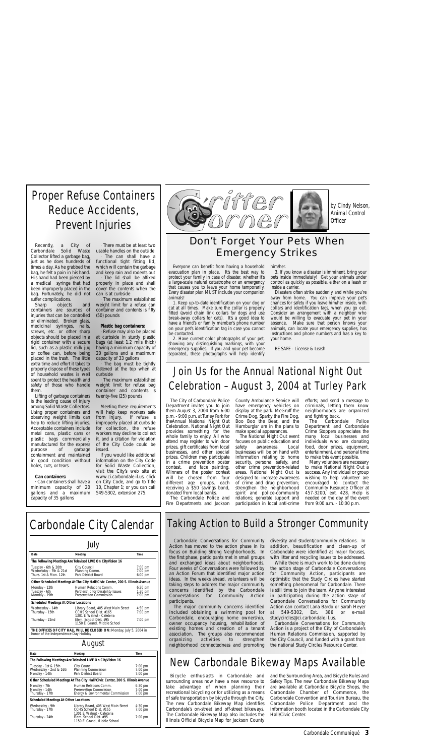Carbondale Conversations for Community Action has moved to the action phase in its focus on Building Strong Neighborhoods. In the first phase, participants met in small groups and exchanged ideas about neighborhoods. Four weeks of Conversations were followed by an Action Forum that identified major action ideas. In the weeks ahead, volunteers will be taking steps to address the major community concerns identified by the Carbondale Conversations for Community Action participants.

The major community concerns identified included obtaining a swimming pool for Carbondale, encouraging home ownership, owner occupancy housing, rehabilitation of existing homes and creation of a tenant association. The groups also recommended<br>organizing activities to strengthen activities to strengthen neighborhood connectedness and promoting

diversity and student/community relations. In addition, beautification and clean-up of Carbondale were identified as major focuses, with litter and recycling issues to be addressed.

While there is much work to be done during the action stage of Carbondale Conversations for Community Action, participants are optimistic that the Study Circles have started something phenomenal for Carbondale. There is still time to join the team. Anyone interested in participating during the action stage of Carbondale Conversations for Community Action can contact Lana Bardo or Sarah Heyer

at 549-5302, Ext. 386 or e-mail studycircles@ci.carbondale.il.us.

Carbondale Conversations for Community Action is a project of the City of Carbondale's Human Relations Commission, supported by the City Council, and funded with a grant from the national Study Circles Resource Center.

The Carbondale Police Department and Carbondale Crime Stoppers appreciates the many local businesses and individuals who are donating food, door prizes, equipment, entertainment, and personal time to make this event possible.

### Taking Action to Build a Stronger Community

The City of Carbondale Police Department invites you to join them August 3, 2004 from 6:00 p.m. - 9:00 p.m. at Turley Park for theAnnual National Night Out Celebration. National Night Out provides something for the whole family to enjoy. All who attend may register to win door prizes, gift certificates from local businesses, and other special prizes. Children may participate in a crime prevention poster contest, and face painting. Winners of the poster contest will be chosen from four different age groups, each

receiving a \$50 savings bond, donated from local banks. The Carbondale Police and Fire Departments and Jackson County Ambulance Service will have emergency vehicles on display at the park. McGruff the Crime Dog, Sparky the Fire Dog, Boo Boo the Bear, and the Hamburglar are in the plans to make special appearances.

The National Night Out event focuses on public education and<br>safety awareness. Local awareness. Local businesses will be on hand with information relating to home security, personal safety, and other crime prevention-related areas. National Night Out is designed to: increase awareness of crime and drug prevention; strengthen the neighborhood spirit and police-community relations; generate support and participation in local anti-crime efforts; and send a message to criminals, letting them know neighborhoods are organized and fighting back.

Many volunteers are necessary to make National Night Out a success. Any individual or group wishing to help volunteer are encouraged to contact the Community Resource Officer at 457-3200, ext. 428. Help is needed on the day of the event from 9:00 a.m. - 10:00 p.m.

Carbondale Communiqué **3**

# Carbondale City Calendar

| July                                                                     |                                                                                              |                                                     |  |  |
|--------------------------------------------------------------------------|----------------------------------------------------------------------------------------------|-----------------------------------------------------|--|--|
| Date                                                                     | Meeting                                                                                      | <b>Time</b>                                         |  |  |
|                                                                          | The Following Meetings Are Televised LIVE On CityVision 16                                   |                                                     |  |  |
| Tuesday - 6th & 20th<br>Wednesday - 7th & 21st<br>Thurs. 1st & Mon. 12th | City Council<br>Planning Comm.<br>Park District Board                                        | 7:00 pm<br>$7:00 \text{ pm}$<br>$6:00$ pm           |  |  |
|                                                                          | Other Scheduled Meetings At The City Hall/Civic Center, 200 S. Illinois Avenue               |                                                     |  |  |
| Monday - 12th<br>Tuesday - 6th<br>Monday - 19th                          | Human Relations Comm.<br>Partnership for Disability Issues<br>Preservation Commission        | $6:30$ pm<br>$1:30$ pm<br>$7:00$ pm                 |  |  |
| <b>Scheduled Meetings At Other Locations</b>                             |                                                                                              |                                                     |  |  |
| Wednesday - 14th<br>Thursday - 15th                                      | Library Board, 405 West Main Street<br>CCHS School Dist. #165<br>1301 E. Walnut - Cafeteria  | $4:30 \text{ pm}$<br>$7:00$ pm                      |  |  |
| Thursday - 22nd                                                          | Elem. School Dist. #95<br>1150 E. Grand, Middle School                                       | $7:00 \text{ pm}$                                   |  |  |
| honor of the Independence Day Holiday                                    | THE OFFICES OF CITY HALL WILL BE CLOSED ON: Monday, July 5, 2004 in                          |                                                     |  |  |
| August                                                                   |                                                                                              |                                                     |  |  |
| Date                                                                     | Meeting                                                                                      | <b>Time</b>                                         |  |  |
|                                                                          | The Following Meetings Are Televised LIVE On City Vision 16                                  |                                                     |  |  |
| Tuesday - 1st & 15th<br>Wednesday - 2nd & 16th<br>Monday - 14th          | City Council<br>Planning Commission<br>Park District Board                                   | 7:00 pm<br>$7:00 \text{ pm}$<br>$7:00 \text{ pm}$   |  |  |
|                                                                          | Other Scheduled Meetings At The City Hall/Civic Center, 200 S. Illinois Avenue               |                                                     |  |  |
| Monday - 7th<br>Monday - 14th<br>Thursday - 17th                         | Human Relations Comm.<br><b>Preservation Commission</b><br>Energy & Environmental Commission | $6:30 \text{ pm}$<br>$7:00 \text{ pm}$<br>$7:00$ pm |  |  |
| <b>Scheduled Meetings At Other Locations</b>                             |                                                                                              |                                                     |  |  |
| Wednesday - 9th<br>Thursday - 17th                                       | Library Board, 405 West Main Street<br>CCHS School Dist. #165<br>1301 E. Walnut - Cafeteria  | $4:30$ pm<br>7:00 pm                                |  |  |
| Thursday - 24th                                                          | Elem. School Dist. #95<br>1150 E. Grand, Middle School                                       | $7:00 \text{ pm}$                                   |  |  |



Everyone can benefit from having a household evacuation plan in place. It's the best way to protect your family in case of disaster, whether it's a large-scale natural catastrophe or an emergency that causes you to leave your home temporarily. Every disaster plan MUST include your companion animals!

1. Keep up-to-date identification on your dog or cat at all times. Make sure the collar is properly fitted (avoid chain link collars for dogs and use break-away collars for cats). It's a good idea to have a friend's or family member's phone number on your pet's identification tag in case you cannot be contacted.

2. Have current color photographs of your pet, showing any distinguishing markings, with your emergency supplies. If you and your pet become separated, these photographs will help identify

him/her. 3. If you know a disaster is imminent, bring your pets inside immediately! Get your animals under control as quickly as possible, either on a leash or inside a carrier.

Disasters often strike suddenly and while you're away from home. You can improve your pet's chances for safety if you leave him/her inside, with collars and identification tags, when you go out. Consider an arrangement with a neighbor who would be willing to evacuate your pet in your absence. Make sure that person knows your animals, can locate your emergency supplies, has instructions and phone numbers and has a key to your home.

BE SAFE - License & Leash

### Don't Forget Your Pets When Emergency Strikes

Join Us for the Annual National Night Out

Celebration – August 3, 2004 at Turley Park

Recently, a City of Carbondale Solid Waste Collector lifted a garbage bag, just as he does hundreds of times a day. As he grabbed the bag, he felt a pain in his hand. His hand had been pierced by a medical syringe that had been improperly placed in the bag. Fortunately, he did not suffer complications.

Sharp objects and containers are sources of injuries that can be controlled or eliminated. Broken glass, medicinal syringes, nails, screws, etc. or other sharp objects should be placed in a rigid container with a secure lid, such as a plastic milk jug or coffee can, before being placed in the trash. The little extra time and effort it takes to properly dispose of these types of household wastes is well spent to protect the health and safety of those who handle them.

Lifting of garbage containers is the leading cause of injury among Solid Waste Collectors. Using proper containers and observing weight limits can help to reduce lifting injuries. Acceptable containers include metal cans, plastic cans or plastic bags commercially manufactured for the express<br>purpose of garbage purpose of garbage containment and maintained in good condition without holes, cuts, or tears.

### **Can containers:**

· Can containers shall have a minimum capacity of 20 gallons and a maximum capacity of 35 gallons

· There must be at least two usable handles on the outside · The can shall have a functional tight fitting lid, which will contain the garbage and keep rain and rodents out The lid shall be affixed properly in place and shall cover the contents when the

can is at curbside · The maximum established weight limit for a refuse can container and contents is fifty (50) pounds

### **Plastic bag containers:**

· Refuse may also be placed at curbside in sturdy plastic bags (at least 1.2 mils thick) having a minimum capacity of 20 gallons and a maximum capacity of 33 gallons

· The bag must be tightly fastened at the top when at curbside

· The maximum established weight limit for refuse bag container and contents is twenty-five (25) pounds

Meeting these requirements will help keep workers safe<br>from injury. If refuse is from injury. improperly placed at curbside for collection, the refuse workers may decline to collect it, and a citation for violation of the City Code could be issued.

If you would like additional information on the City Code for Solid Waste Collection, visit the City's web site at www.ci.carbondale.il.us, click on City Code, and go to Title 10, Chapter 1; or you can call 549-5302, extension 275.

# Proper Refuse Containers Reduce Accidents, Prevent Injuries

Bicycle enthusiasts in Carbondale and surrounding areas now have a new resource to take advantage of when planning their recreational bicycling or for utilizing as a means of safe transportation by bicycle through the City. The new Carbondale Bikeway Map identifies Carbondale's on-street and off-street bikeways. The Carbondale Bikeway Map also includes the Illinois Official Bicycle Map for Jackson County

and the Surrounding Area, and Bicycle Rules and Safety Tips. The new Carbondale Bikeway Maps are available at Carbondale Bicycle Shops, the Carbondale Chamber of Commerce, the Carbondale Convention and Tourism Bureau, the Carbondale Police Department and the information booth located in the Carbondale City Hall/Civic Center.

# New Carbondale Bikeway Maps Available